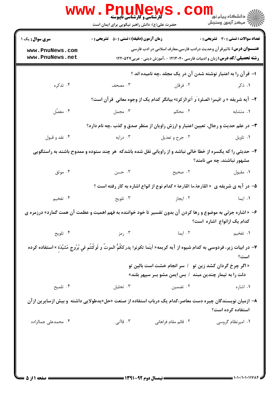| <b>WWW</b> .                                                                                                                              | <b>PAUNEWS</b><br>کارشناسی و کارشناسی ناپیوسته<br>حضرت علی(ع): دانش راهبر نیکویی برای ایمان است                                 |                                                                                                                                                                   | الان دانشگاه پيام نور دا<br>الان مرکز آزمون وسنجش |  |
|-------------------------------------------------------------------------------------------------------------------------------------------|---------------------------------------------------------------------------------------------------------------------------------|-------------------------------------------------------------------------------------------------------------------------------------------------------------------|---------------------------------------------------|--|
| <b>سری سوال :</b> یک ۱<br>www.PnuNews.com<br>www.PnuNews.net                                                                              | <b>زمان آزمون (دقیقه) : تستی : 50 ٪ تشریحی : 0</b>                                                                              | <b>عنــــوان درس:</b> تاثیرقر آن وحدیث درادب فارسی،معارف اسلامی در ادب فارسی<br><b>رشته تحصیلی/کد درس:</b> زبان و ادبیات فارسی ۱۲۱۳۰۴۰ - ،آموزش دینی- عربی۱۲۲۰۵۲۷ | <b>تعداد سوالات : تستی : 30 ٪ تشریحی : 0</b>      |  |
| ا– قرآن را به اعتبار نوشته شدن آن در یک مجلد ،چه نامیده اند ؟                                                                             |                                                                                                                                 |                                                                                                                                                                   |                                                   |  |
| ۰۴ تذکره                                                                                                                                  | ۰۳ مصحف                                                                                                                         | ۰۲ فرقان                                                                                                                                                          | ۰۱ ذکر                                            |  |
|                                                                                                                                           |                                                                                                                                 | ٢-  آيه شريفه « و اقيموا الصلوة و اًتوالزكوة» بيانگر كدام يک از وجوه معاني  قرآن است؟                                                                             |                                                   |  |
| ۰۴ مفصَّل                                                                                                                                 | ۰۳ مجمل                                                                                                                         | ۲. محکم                                                                                                                                                           | ٠١. متشابه                                        |  |
|                                                                                                                                           | ۳- در علم حدیث و رجال، تعیین اعتبار و ارزش راویان از منظر صدق و کذب ،چه نام دارد؟                                               |                                                                                                                                                                   |                                                   |  |
| ۰۴ نقد و قبول                                                                                                                             | ۰۳ درایه $\cdot$                                                                                                                | ۰۲ جرح و تعديل                                                                                                                                                    | ۰۱ تاويل                                          |  |
| ۴- حدیثی را که یکسره از خطا خالی نباشد و از راویانی نقل شده باشدکه ًهر چند ستوده و ممدوح باشند به راستگویی<br>مشهور نباشند، چه می نامند؟  |                                                                                                                                 |                                                                                                                                                                   |                                                   |  |
| ۰۴ موثق                                                                                                                                   | ۴. حسن                                                                                                                          | ٢. صحيح                                                                                                                                                           | ۰۱ مقبول                                          |  |
|                                                                                                                                           |                                                                                                                                 | ۵− در آیه ی شریفه ی  « القارعة،ما القارعة » کدام نوع از انواع اشاره به کار رفته است ؟                                                                             |                                                   |  |
| ۰۴ تفخیم                                                                                                                                  | ۰۳ تلویح                                                                                                                        | ۰۲ ایجاز                                                                                                                                                          | ۰۱ ایما                                           |  |
| ۶– « اشاره جزئی به موضوع و رها کردن آن بدون تفسیر تا خود خواننده به فهم اهمیت و عظمت آن همت گمارد» درزمره ی<br>كدام یک ازانواع اشاره است؟ |                                                                                                                                 |                                                                                                                                                                   |                                                   |  |
| ۰۴ تلويح                                                                                                                                  | ۰۳ رمز                                                                                                                          | ۰۲ ایما                                                                                                                                                           | ۱. تفخیم                                          |  |
|                                                                                                                                           | ٧– در ابيات زير، فردوسى به كدام شيوه از آيه كريمه« أينَما تكونوا يدرككُمُّ الموتُ و لَوكُنتُم في بُرُوج مّشيَّدَة »استفاده كرده |                                                                                                                                                                   | است؟                                              |  |
|                                                                                                                                           |                                                                                                                                 | « اگر چرخ گردان کشد زین تو ٪ سر انجام خشت است بالین تو<br>دلت را به تیمار چندین مبند ۱ بس ایمن مشو بـر سپهر بلند»                                                 |                                                   |  |
| ۰۴ تلميح                                                                                                                                  | ۰۳ تحلیل                                                                                                                        | ۰۲ تضمین                                                                                                                                                          | ۰۱ اشاره                                          |  |
| ۸– ازمیان نویسندگان چیره دست معاصر،کدام یک درباب استفاده از صنعت «حل»یدطولایی داشته  و بیش ازسایرین از آن<br>استفاده کرده است؟            |                                                                                                                                 |                                                                                                                                                                   |                                                   |  |
| ۰۴ محمدعلی جمالزاده                                                                                                                       | ۰۳ قاآنی                                                                                                                        | ۰۲ قائم مقام فراهانی                                                                                                                                              | ۰۱ امیرنظام گروسی                                 |  |
|                                                                                                                                           |                                                                                                                                 |                                                                                                                                                                   |                                                   |  |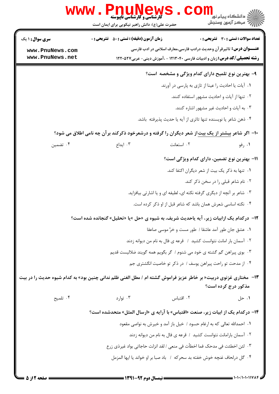|                                                                                                                   | <b>www.Pni</b><br><b>گارشناسی و کارشناسی ناپیوسته</b> -<br>حضرت علی(ع): دانش راهبر نیکویی برای ایمان است |                                                                                                                                                                       | <mark>د</mark> دانشگاه پيام نو <mark>ر</mark><br>ج '' مرڪز آزمون وسنڊش |
|-------------------------------------------------------------------------------------------------------------------|----------------------------------------------------------------------------------------------------------|-----------------------------------------------------------------------------------------------------------------------------------------------------------------------|------------------------------------------------------------------------|
| سری سوال: ۱ یک                                                                                                    | <b>زمان آزمون (دقیقه) : تستی : 50 ٪ تشریحی : 0</b>                                                       |                                                                                                                                                                       | تعداد سوالات : تستى : 30 ٪ تشريحي : 0                                  |
| www.PnuNews.com<br>www.PnuNews.net                                                                                |                                                                                                          | <del>عنــــوان درس:</del> تاثیرقر آن وحدیث درادب فارسی،معارف اسلامی در ادب فارسی<br><b>رشته تحصیلی/کد درس:</b> زبان و ادبیات فارسی ۱۲۱۳۰۴۰ - ،آموزش دینی- عربی1۲۲۰۵۲۷ |                                                                        |
|                                                                                                                   |                                                                                                          |                                                                                                                                                                       |                                                                        |
|                                                                                                                   |                                                                                                          | ۹- بهترین نوع تلمیح دارای کدام ویژگی و مشخصه است؟                                                                                                                     |                                                                        |
|                                                                                                                   |                                                                                                          | ٠١. آيات يا احاديث را عينا از تازي به پارسي در آورند.                                                                                                                 |                                                                        |
|                                                                                                                   |                                                                                                          | ۰۲ تنها از آیات و احادیث مشهور استفاده کنند.                                                                                                                          |                                                                        |
|                                                                                                                   |                                                                                                          | ۰۳ به آیات و احادیث غیر مشهور اشاره کنند.                                                                                                                             |                                                                        |
|                                                                                                                   |                                                                                                          | ۰۴ ذهن شاعر یا نویسنده تنها تاثری از آیه یا حدیث پذیرفته باشد.                                                                                                        |                                                                        |
|                                                                                                                   |                                                                                                          | ۱۰- اگر شاعر بیشتر از یک بیت از شعر دیگران را گرفته و درشعرخود ذکرکند برآن چه نامی اطلاق می شود؟                                                                      |                                                                        |
| ۰۴ تضمین                                                                                                          | ۰۳ ایداع                                                                                                 | ۰۲ استعانت                                                                                                                                                            | ۰۱ رفو                                                                 |
|                                                                                                                   |                                                                                                          | 11– بهترین نوع تضمین، دارای کدام ویژگی است؟                                                                                                                           |                                                                        |
|                                                                                                                   |                                                                                                          | ٠١. تنها به ذكر يك بيت از شعر ديگران اكتفا كند.                                                                                                                       |                                                                        |
|                                                                                                                   |                                                                                                          |                                                                                                                                                                       | ۰۲ نام شاعر قبلی را در سخن ذکر کند.                                    |
|                                                                                                                   |                                                                                                          | ۰۳ شاعر بر آنچه از دیگری گرفته نکته ای، لطیفه ای و یا اشارتی بیافزاید.                                                                                                |                                                                        |
|                                                                                                                   |                                                                                                          | ۰۴ نکته اساسی شعرش همان باشد که شاعر قبل از او ذکر کرده است.                                                                                                          |                                                                        |
|                                                                                                                   |                                                                                                          | <b>۱۲</b> - درکدام یک ازابیات زیر، ایه یاحدیث شریف، به شیوه ی «حل »یا «تحلیل» گنجانده شده است؟                                                                        |                                                                        |
|                                                                                                                   |                                                                                                          | ٠١ عشق جان طور آمد عاشقا / طور مست و خرَّ موسى صاعقا                                                                                                                  |                                                                        |
|                                                                                                                   |                                                                                                          | ٠٢ آسمان بار امانت نتوانست كشيد ١ قرعه ي فال به نام من ديوانه زدند                                                                                                    |                                                                        |
|                                                                                                                   |                                                                                                          | ۰۳ بوی پیراهن گم گشته ی خود می شنوم / گر بگویم همه گویند ضلالیست قدیم                                                                                                 |                                                                        |
|                                                                                                                   |                                                                                                          | ۰۴ از مدحت تو راحت پیراهن یوسف / در ذکر تو خاصیت انگشتری جم                                                                                                           |                                                                        |
| ۱۳-   مختاری غزنوی دربیت« بر خاطر عزیز فراموش گشته ام / مطل الغنی ظلم ندانی چنین بود» به کدام شیوه حدیث را در بیت |                                                                                                          |                                                                                                                                                                       | مذکور درج کرده است؟                                                    |
| ۰۴ تلميح                                                                                                          | ۰۳ توارد                                                                                                 | ٠٢ اقتباس                                                                                                                                                             | ۰۱ حل                                                                  |
|                                                                                                                   |                                                                                                          | ۱۴- درکدام یک از ابیات زیر، صنعت «اقتباس» با آرایه ی «ارسال المثل» متحدشده است؟                                                                                       |                                                                        |
|                                                                                                                   |                                                                                                          | ۰۱ احمدالله تعالى كه به ارغام حسود / خيل باز آمد و خيرش به نواصى مقعود                                                                                                |                                                                        |
|                                                                                                                   |                                                                                                          | ۰۲ آسمان بارامانت نتوانست کشید / قرعه ی فال به نام من دیوانه زدند                                                                                                     |                                                                        |
|                                                                                                                   |                                                                                                          | ٠٣ لئن اخطئت في مدحك فما اخطأت في منعي / لقد انزلت حاجاتي بواد غيرذي زرع                                                                                              |                                                                        |
|                                                                                                                   |                                                                                                          | ۰۴ گل درلحاف غنچه خوش خفته بد سحركه ۱ باد صبا بر او خواند یا ایها المزمل                                                                                              |                                                                        |
|                                                                                                                   |                                                                                                          |                                                                                                                                                                       |                                                                        |

ľ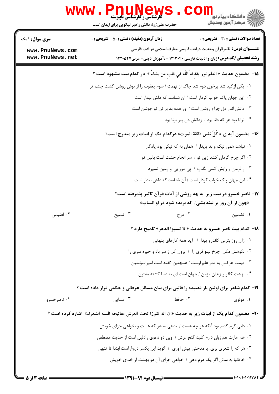|                                    | <b>www.PnuNews</b><br>ڪ دانشڪاه پيا <sub>م</sub> نور<br><mark>∕</mark> 7 مرڪز آزمون وسنڊش<br><b>گارشناسی و کارشناسی ناپیوسته</b><br>حضرت علی(ع): دانش راهبر نیکویی برای ایمان است |  |  |
|------------------------------------|-----------------------------------------------------------------------------------------------------------------------------------------------------------------------------------|--|--|
| <b>سری سوال : ۱ یک</b>             | <b>زمان آزمون (دقیقه) : تستی : 50 ٪ تشریحی : 0</b><br>تعداد سوالات : تستي : 30 ٪ تشريحي : 0                                                                                       |  |  |
| www.PnuNews.com<br>www.PnuNews.net | <b>عنــــوان درس:</b> تاثیرقر آن وحدیث درادب فارسی،معارف اسلامی در ادب فارسی<br><b>رشته تحصیلی/کد درس:</b> زبان و ادبیات فارسی ۱۲۱۳۰۴۰ - ،آموزش دینی- عربی1۲۲۰۵۲۷                 |  |  |
|                                    | 1۵–  مضمون حديث « العلم نور  يقذِفه ُاللّه في قلبٍ من يشاءُ »  در كدام بيت مشهود است ؟                                                                                            |  |  |
|                                    | ۰۱ یکی ازکید شد پرخون دوم شد چاک از تهمت / سوم یعقوب را از بوش روشن گشت چشم تر                                                                                                    |  |  |
|                                    | ۰۲ این جهان پاک خواب کردار است / آن شناسد که دلش بیدار است                                                                                                                        |  |  |
|                                    | ۰۳ دانش اندر دل چراغ روشن است / وز همه بد بر تن تو جوشن است                                                                                                                       |  |  |
|                                    | ۰۴ توانا بود هر که دانا بود / زدانش دل پیر برنا بود                                                                                                                               |  |  |
|                                    | ۱۶− مضمون آیه ی « کُلّ نفس ذائقة الموت» درکدام یک از ابیات زیر مندرج است؟                                                                                                         |  |  |
|                                    | ۰۱ نباشد همی نیک و بد پایدار / همان به که نیکی بود یادگار                                                                                                                         |  |  |
|                                    | ۰۲ اگر چرخ گردان کشد زین تو / سر انجام خشت است بالین تو                                                                                                                           |  |  |
|                                    | ۰۳ ز فرمان و رایش کسی نگذرد / پی مور بی او زمین نسپرد                                                                                                                             |  |  |
|                                    | ۰۴ این جهان پاک خواب کردار است / آن شناسد که دلش بیدار است                                                                                                                        |  |  |
|                                    | ۱۷– ناصر خسرو در بیت زیر ً به چه روشی از آیات قرآن تاثیر پذیرفته است؟<br>«چون از آن روز بر نیندیشی/ که بریده شود در او انساب»                                                     |  |  |
| ۰۴ اقتباس                          | ۰۳ تلمیح<br>۰۲ درج<br>۰۱ تضمین                                                                                                                                                    |  |  |
|                                    | 18- كدام بيت ناصر خسرو به حديث « لا تسبوا الدهر» تلميح دارد ؟                                                                                                                     |  |  |
|                                    | ۰۱ زآن روز بترس کاندرو پیدا / آید همه کارهای پنهانی                                                                                                                               |  |  |
|                                    | ۰۲ نکوهش مکن چرخ نیلو فری را / برون کن ز سر باد و خیره سری را                                                                                                                     |  |  |
|                                    | ۰۳ قیمت هرکس به قدر علم اوست / همچنین گفته است امیرالمؤمنین                                                                                                                       |  |  |
|                                    | ۰۴ بهشت کافر و زندان مؤمن / جهان است ای به دنیا گشته مفتون                                                                                                                        |  |  |
|                                    | ۱۹- کدام شاعر برای اولین بار قصیده را قالبی برای بیان مسائل عرفانی و حکمی قرار داده است ؟                                                                                         |  |  |
| ۰۴ ناصرخسرو                        | ۰۲ حافظ<br>۰۳ سنایی $\cdot$<br>۰۱ مولوی                                                                                                                                           |  |  |
|                                    | +٢-  مضمون كدام يك از ابيات زير به حديث « ان الله كنوزا تحت العرش مفاتيحه السنه الشعراء»  اشاره كرده است ؟                                                                        |  |  |
|                                    | ۱. دانی کرم کدام بود آنکه هر چه هست / بدهی به هر که هست و نخواهی جزای خویش                                                                                                        |  |  |
|                                    | ٠٢ هم امارت هم زبان دارم كليد گنج عرش / وين دو دعوى رادليل است از حديث مصطفى                                                                                                      |  |  |
|                                    | ٠٣ هر كه را شعرى برى، يا مدحتى پيش آورى ١ گويد اين يكسر دروغ است ابتدا تا انتهى                                                                                                   |  |  |
|                                    | ۰۴ خاقانیا به سائل اگر یک درم دهی / خواهی جزای آن دو بهشت از خدای خویش                                                                                                            |  |  |
|                                    |                                                                                                                                                                                   |  |  |

**: صفحه 3 از 5 =**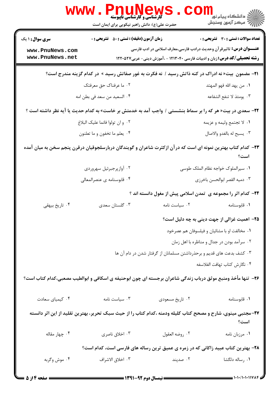|                                    | WWW . PI<br><b>کارشناسی و کارشناسی ناپیوسته</b><br>حضرت علی(ع): دانش راهبر نیکویی برای ایمان است                  |                                                                                                                                                                   | ڪ دانشڪاه پيام نور ■<br>// مرکز آزمون وسنڊش  |
|------------------------------------|-------------------------------------------------------------------------------------------------------------------|-------------------------------------------------------------------------------------------------------------------------------------------------------------------|----------------------------------------------|
| <b>سری سوال : ۱ یک</b>             | <b>زمان آزمون (دقیقه) : تستی : 50 ٪ تشریحی : 0</b>                                                                |                                                                                                                                                                   | تعداد سوالات : تستى : 30 قشريحى : 0          |
| www.PnuNews.com<br>www.PnuNews.net |                                                                                                                   | <b>عنــــوان درس:</b> تاثیرقر آن وحدیث درادب فارسی،معارف اسلامی در ادب فارسی<br><b>رشته تحصیلی/گد درس:</b> زبان و ادبیات فارسی ۱۲۱۳۰۴۰ - ،آموزش دینی- عربی۱۲۲۰۵۲۷ |                                              |
|                                    | <b>۲۱</b> - مضمون بیت« نه ادراک در کنه ذاتش رسید / نه فکرت به غور صفاتش رسید » در کدام گزینه مندرج است؟           |                                                                                                                                                                   |                                              |
|                                    | ۰۲ ما عرفناک حق معرفتک                                                                                            |                                                                                                                                                                   | ٠١. من يهد الله فهو المهتد                   |
|                                    | ۰۴ السعيد من سعد في بطن امه                                                                                       |                                                                                                                                                                   | ٠٣ يومئذ لا تنفع الشفاعه                     |
|                                    | <b>۲۲</b> – سعدی در بیت« هر که را بر سماط بنشستی / واجب آمد به خدمتش بر خاست» به کدام حدیث یا آیه نظر داشته است ؟ |                                                                                                                                                                   |                                              |
|                                    | ٠٢ وان تولوا فانما عليك البلاغ                                                                                    |                                                                                                                                                                   | ٠١ لا تجتمع وليمه و عزيمه                    |
|                                    | ۰۴ يعلم ما تخفون و ما تعلنون                                                                                      |                                                                                                                                                                   | ٠٣ يسبح له بالغدو والاصال                    |
|                                    | ۲۳– کدام کتاب بهترین نمونه ای است که در آن ازکثرت شاعران و گویندگان دربارسلجوقیان درقرن پنجم سخن به میان آمده     |                                                                                                                                                                   | است؟                                         |
|                                    | ۰۲ أوازپرجبرئيل سهروردي                                                                                           |                                                                                                                                                                   | ٠١ سيرالملوک خواجه نظام الملک طوسي           |
|                                    | ۰۴ قابوسنامه ی عنصرالمعالی                                                                                        |                                                                                                                                                                   | ٠٣ دميه القصر ابوالحسن باخرزي                |
|                                    |                                                                                                                   | <b>۲۴</b> - کدام اثر را مجموعه ی تمدن اسلامی پیش از مغول دانسته اند ؟                                                                                             |                                              |
| ۰۴ تاریخ بیهقی                     | ۰۳ گلستان سعدي                                                                                                    | ۰۲ سیاست نامه                                                                                                                                                     | ۰۱ قابوسنامه                                 |
|                                    |                                                                                                                   |                                                                                                                                                                   | ۲۵– اهمیت غزالی از جهت دینی به چه دلیل است؟  |
|                                    |                                                                                                                   |                                                                                                                                                                   | ۰۱ مخالفت او با مشائیان و فیلسوفان هم عصرخود |
|                                    |                                                                                                                   |                                                                                                                                                                   | ۰۲ سرآمد بودن در جدال و مناظره با اهل زمان   |
|                                    |                                                                                                                   | ۰۳ کشف بدعت های قدیم و برحذرداشتن مسلمانان از گرفتار شدن در دام آن ها                                                                                             |                                              |
|                                    |                                                                                                                   |                                                                                                                                                                   | ۰۴ نگارش كتاب تهافت الفلاسفه                 |
|                                    | ۲۶– تنها مأخذ ومنبع موثق درباب زندگی شاعران برجسته ای چون ابوحنیفه ی اسکافی و ابوالطیب مصعبی،کدام کتاب است؟       |                                                                                                                                                                   |                                              |
| ۰۴ کیمیای سعادت                    | $\cdot$ ۳ سیاست نامه                                                                                              | ۰۲ تاریخ مسعودی                                                                                                                                                   | ٠١ قابوسنامه                                 |
|                                    | ۲۷-مجتبی مینوی، شارح و مصحح کتاب کلیله ودمنه ،کدام کتاب را از حیث سبک تحریر، بهترین تقلید از این اثر دانسته       |                                                                                                                                                                   | است؟                                         |
| ۰۴ چهار مقاله                      | ۰۳ اخلاق ناصري                                                                                                    | ٠٢ روضه العقول                                                                                                                                                    | ٠١ مرزبان نامه                               |
|                                    | ۲۸– بهترین کتاب عبید زاکانی که در زمره ی عمیق ترین رساله های فارسی است، کدام است؟                                 |                                                                                                                                                                   |                                              |
| ۰۴ موش وگربه                       | ٠٣ اخلاق الاشراف                                                                                                  | ۰۲ صدپند                                                                                                                                                          | ۰۱ رساله دلگشا                               |
| = صفحه 14: 5 <b>=</b>              | ـــــــــ نیمسال ده م ۹۲-۱۳۹۱ ــــــ                                                                              |                                                                                                                                                                   | = 1+1+/1+1+11784                             |